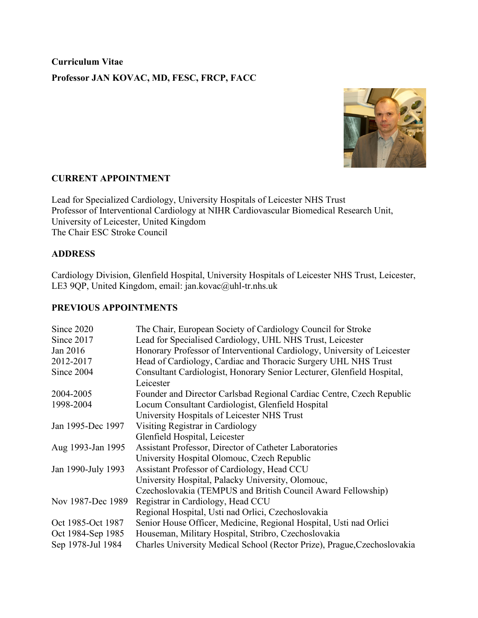**Curriculum Vitae Professor JAN KOVAC, MD, FESC, FRCP, FACC**



## **CURRENT APPOINTMENT**

Lead for Specialized Cardiology, University Hospitals of Leicester NHS Trust Professor of Interventional Cardiology at NIHR Cardiovascular Biomedical Research Unit, University of Leicester, United Kingdom The Chair ESC Stroke Council

#### **ADDRESS**

Cardiology Division, Glenfield Hospital, University Hospitals of Leicester NHS Trust, Leicester, LE3 9QP, United Kingdom, email: jan.kovac@uhl-tr.nhs.uk

#### **PREVIOUS APPOINTMENTS**

| Since 2020         | The Chair, European Society of Cardiology Council for Stroke             |
|--------------------|--------------------------------------------------------------------------|
| Since 2017         | Lead for Specialised Cardiology, UHL NHS Trust, Leicester                |
| Jan 2016           | Honorary Professor of Interventional Cardiology, University of Leicester |
| 2012-2017          | Head of Cardiology, Cardiac and Thoracic Surgery UHL NHS Trust           |
| Since 2004         | Consultant Cardiologist, Honorary Senior Lecturer, Glenfield Hospital,   |
|                    | Leicester                                                                |
| 2004-2005          | Founder and Director Carlsbad Regional Cardiac Centre, Czech Republic    |
| 1998-2004          | Locum Consultant Cardiologist, Glenfield Hospital                        |
|                    | University Hospitals of Leicester NHS Trust                              |
| Jan 1995-Dec 1997  | Visiting Registrar in Cardiology                                         |
|                    | Glenfield Hospital, Leicester                                            |
| Aug 1993-Jan 1995  | Assistant Professor, Director of Catheter Laboratories                   |
|                    | University Hospital Olomouc, Czech Republic                              |
| Jan 1990-July 1993 | Assistant Professor of Cardiology, Head CCU                              |
|                    | University Hospital, Palacky University, Olomouc,                        |
|                    | Czechoslovakia (TEMPUS and British Council Award Fellowship)             |
| Nov 1987-Dec 1989  | Registrar in Cardiology, Head CCU                                        |
|                    | Regional Hospital, Usti nad Orlici, Czechoslovakia                       |
| Oct 1985-Oct 1987  | Senior House Officer, Medicine, Regional Hospital, Usti nad Orlici       |
| Oct 1984-Sep 1985  | Houseman, Military Hospital, Stribro, Czechoslovakia                     |
| Sep 1978-Jul 1984  | Charles University Medical School (Rector Prize), Prague, Czechoslovakia |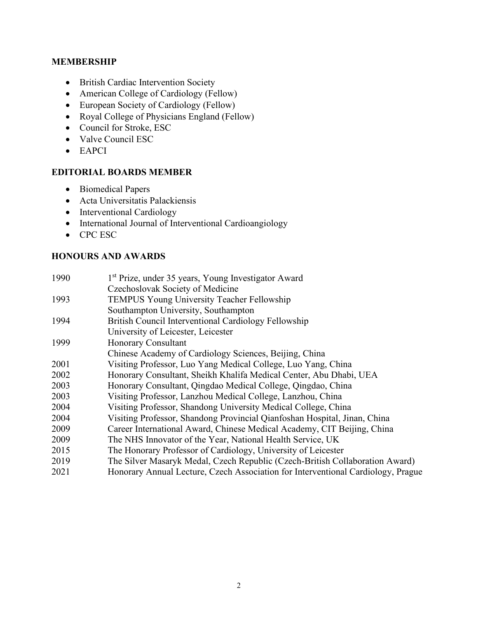### **MEMBERSHIP**

- British Cardiac Intervention Society
- American College of Cardiology (Fellow)
- European Society of Cardiology (Fellow)
- Royal College of Physicians England (Fellow)
- Council for Stroke, ESC
- Valve Council ESC
- EAPCI

### **EDITORIAL BOARDS MEMBER**

- Biomedical Papers
- Acta Universitatis Palackiensis
- Interventional Cardiology
- International Journal of Interventional Cardioangiology
- CPC ESC

### **HONOURS AND AWARDS**

| 1990 | 1 <sup>st</sup> Prize, under 35 years, Young Investigator Award                  |
|------|----------------------------------------------------------------------------------|
|      | Czechoslovak Society of Medicine                                                 |
| 1993 | <b>TEMPUS Young University Teacher Fellowship</b>                                |
|      | Southampton University, Southampton                                              |
| 1994 | British Council Interventional Cardiology Fellowship                             |
|      | University of Leicester, Leicester                                               |
| 1999 | Honorary Consultant                                                              |
|      | Chinese Academy of Cardiology Sciences, Beijing, China                           |
| 2001 | Visiting Professor, Luo Yang Medical College, Luo Yang, China                    |
| 2002 | Honorary Consultant, Sheikh Khalifa Medical Center, Abu Dhabi, UEA               |
| 2003 | Honorary Consultant, Qingdao Medical College, Qingdao, China                     |
| 2003 | Visiting Professor, Lanzhou Medical College, Lanzhou, China                      |
| 2004 | Visiting Professor, Shandong University Medical College, China                   |
| 2004 | Visiting Professor, Shandong Provincial Qianfoshan Hospital, Jinan, China        |
| 2009 | Career International Award, Chinese Medical Academy, CIT Beijing, China          |
| 2009 | The NHS Innovator of the Year, National Health Service, UK                       |
| 2015 | The Honorary Professor of Cardiology, University of Leicester                    |
| 2019 | The Silver Masaryk Medal, Czech Republic (Czech-British Collaboration Award)     |
| 2021 | Honorary Annual Lecture, Czech Association for Interventional Cardiology, Prague |
|      |                                                                                  |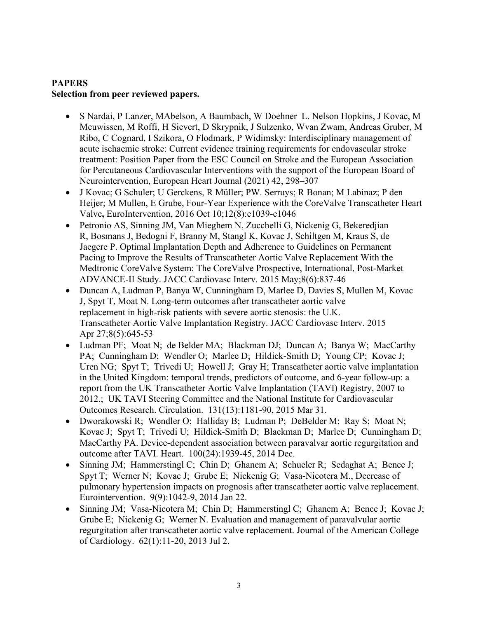# **PAPERS Selection from peer reviewed papers.**

- S Nardai, P Lanzer, MAbelson, A Baumbach, W Doehner L. Nelson Hopkins, J Kovac, M Meuwissen, M Roffi, H Sievert, D Skrypnik, J Sulzenko, Wvan Zwam, Andreas Gruber, M Ribo, C Cognard, I Szikora, O Flodmark, P Widimsky: Interdisciplinary management of acute ischaemic stroke: Current evidence training requirements for endovascular stroke treatment: Position Paper from the ESC Council on Stroke and the European Association for Percutaneous Cardiovascular Interventions with the support of the European Board of Neurointervention, European Heart Journal (2021) 42, 298–307
- J Kovac; G Schuler; U Gerckens, R Müller; PW. Serruys; R Bonan; M Labinaz; P den Heijer; M Mullen, E Grube, Four-Year Experience with the CoreValve Transcatheter Heart Valve**,** EuroIntervention, 2016 Oct 10;12(8):e1039-e1046
- Petronio AS, Sinning JM, Van Mieghem N, Zucchelli G, Nickenig G, Bekeredjian R, Bosmans J, Bedogni F, Branny M, Stangl K, Kovac J, Schiltgen M, Kraus S, de Jaegere P. Optimal Implantation Depth and Adherence to Guidelines on Permanent Pacing to Improve the Results of Transcatheter Aortic Valve Replacement With the Medtronic CoreValve System: The CoreValve Prospective, International, Post-Market ADVANCE-II Study. JACC Cardiovasc Interv. 2015 May;8(6):837-46
- Duncan A, Ludman P, Banya W, Cunningham D, Marlee D, Davies S, Mullen M, Kovac J, Spyt T, Moat N. Long-term outcomes after transcatheter aortic valve replacement in high-risk patients with severe aortic stenosis: the U.K. Transcatheter Aortic Valve Implantation Registry. JACC Cardiovasc Interv. 2015 Apr 27;8(5):645-53
- Ludman PF; Moat N; de Belder MA; Blackman DJ; Duncan A; Banya W; MacCarthy PA; Cunningham D; Wendler O; Marlee D; Hildick-Smith D; Young CP; Kovac J; Uren NG; Spyt T; Trivedi U; Howell J; Gray H; Transcatheter aortic valve implantation in the United Kingdom: temporal trends, predictors of outcome, and 6-year follow-up: a report from the UK Transcatheter Aortic Valve Implantation (TAVI) Registry, 2007 to 2012.; UK TAVI Steering Committee and the National Institute for Cardiovascular Outcomes Research. Circulation. 131(13):1181-90, 2015 Mar 31.
- Dworakowski R; Wendler O; Halliday B; Ludman P; DeBelder M; Ray S; Moat N; Kovac J; Spyt T; Trivedi U; Hildick-Smith D; Blackman D; Marlee D; Cunningham D; MacCarthy PA. Device-dependent association between paravalvar aortic regurgitation and outcome after TAVI. Heart. 100(24):1939-45, 2014 Dec.
- Sinning JM; Hammerstingl C; Chin D; Ghanem A; Schueler R; Sedaghat A; Bence J; Spyt T; Werner N; Kovac J; Grube E; Nickenig G; Vasa-Nicotera M., Decrease of pulmonary hypertension impacts on prognosis after transcatheter aortic valve replacement. Eurointervention. 9(9):1042-9, 2014 Jan 22.
- Sinning JM; Vasa-Nicotera M; Chin D; Hammerstingl C; Ghanem A; Bence J; Kovac J; Grube E; Nickenig G; Werner N. Evaluation and management of paravalvular aortic regurgitation after transcatheter aortic valve replacement. Journal of the American College of Cardiology. 62(1):11-20, 2013 Jul 2.